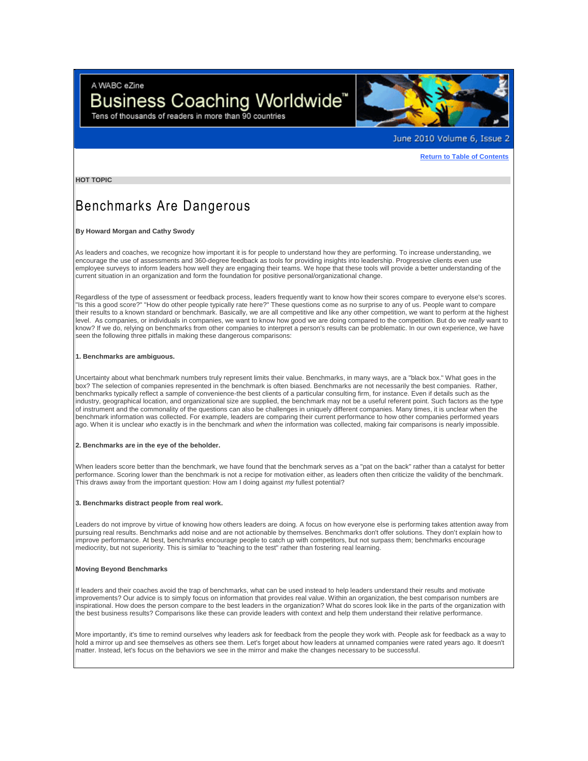A WABC eZine

Business Coaching Worldwide"

Tens of thousands of readers in more than 90 countries



June 2010 Volume 6, Issue 2

## **[Return to Table of Contents](http://www.wabccoaches.com/bcw/2010_v6_i2/index.html)**

**HOT TOPIC** 

# Benchmarks Are Dangerous

### **By Howard Morgan and Cathy Swody**

As leaders and coaches, we recognize how important it is for people to understand how they are performing. To increase understanding, we encourage the use of assessments and 360-degree feedback as tools for providing insights into leadership. Progressive clients even use employee surveys to inform leaders how well they are engaging their teams. We hope that these tools will provide a better understanding of the current situation in an organization and form the foundation for positive personal/organizational change.

Regardless of the type of assessment or feedback process, leaders frequently want to know how their scores compare to everyone else's scores. "Is this a good score?" "How do other people typically rate here?" These questions come as no surprise to any of us. People want to compare their results to a known standard or benchmark. Basically, we are all competitive and like any other competition, we want to perform at the highest level. As companies, or individuals in companies, we want to know how good we are doing compared to the competition. But do we *really* want to know? If we do, relying on benchmarks from other companies to interpret a person's results can be problematic. In our own experience, we have seen the following three pitfalls in making these dangerous comparisons:

#### **1. Benchmarks are ambiguous.**

Uncertainty about what benchmark numbers truly represent limits their value. Benchmarks, in many ways, are a "black box." What goes in the box? The selection of companies represented in the benchmark is often biased. Benchmarks are not necessarily the best companies. Rather, benchmarks typically reflect a sample of convenience-the best clients of a particular consulting firm, for instance. Even if details such as the industry, geographical location, and organizational size are supplied, the benchmark may not be a useful referent point. Such factors as the type of instrument and the commonality of the questions can also be challenges in uniquely different companies. Many times, it is unclear when the benchmark information was collected. For example, leaders are comparing their current performance to how other companies performed years ago. When it is unclear *who* exactly is in the benchmark and *when* the information was collected, making fair comparisons is nearly impossible.

#### **2. Benchmarks are in the eye of the beholder.**

When leaders score better than the benchmark, we have found that the benchmark serves as a "pat on the back" rather than a catalyst for better performance. Scoring lower than the benchmark is not a recipe for motivation either, as leaders often then criticize the validity of the benchmark. This draws away from the important question: How am I doing against *my* fullest potential?

#### **3. Benchmarks distract people from real work.**

Leaders do not improve by virtue of knowing how others leaders are doing. A focus on how everyone else is performing takes attention away from pursuing real results. Benchmarks add noise and are not actionable by themselves. Benchmarks don't offer solutions. They don't explain how to improve performance. At best, benchmarks encourage people to catch up with competitors, but not surpass them; benchmarks encourage mediocrity, but not superiority. This is similar to "teaching to the test" rather than fostering real learning.

## **Moving Beyond Benchmarks**

If leaders and their coaches avoid the trap of benchmarks, what can be used instead to help leaders understand their results and motivate improvements? Our advice is to simply focus on information that provides real value. Within an organization, the best comparison numbers are inspirational. How does the person compare to the best leaders in the organization? What do scores look like in the parts of the organization with the best business results? Comparisons like these can provide leaders with context and help them understand their relative performance.

More importantly, it's time to remind ourselves why leaders ask for feedback from the people they work with. People ask for feedback as a way to hold a mirror up and see themselves as others see them. Let's forget about how leaders at unnamed companies were rated years ago. It doesn't matter. Instead, let's focus on the behaviors we see in the mirror and make the changes necessary to be successful.